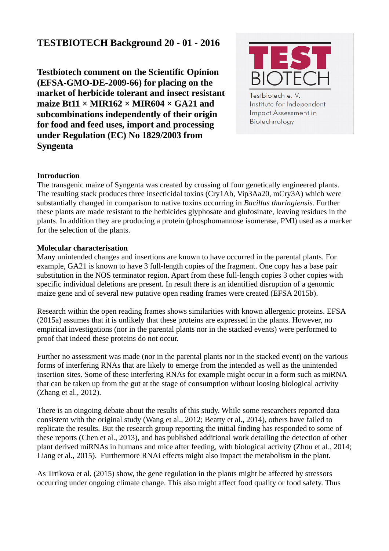# **TESTBIOTECH Background 20 - 01 - 2016**

**Testbiotech comment on the Scientific Opinion (EFSA-GMO-DE-2009-66) for placing on the market of herbicide tolerant and insect resistant maize Bt11 × MIR162 × MIR604 × GA21 and subcombinations independently of their origin for food and feed uses, import and processing under Regulation (EC) No 1829/2003 from Syngenta** 



Testbiotech e. V. Institute for Independent **Impact Assessment in** Biotechnology

## **Introduction**

The transgenic maize of Syngenta was created by crossing of four genetically engineered plants. The resulting stack produces three insecticidal toxins (Cry1Ab, Vip3Aa20, mCry3A) which were substantially changed in comparison to native toxins occurring in *Bacillus thuringiensis*. Further these plants are made resistant to the herbicides glyphosate and glufosinate, leaving residues in the plants. In addition they are producing a protein (phosphomannose isomerase, PMI) used as a marker for the selection of the plants.

### **Molecular characterisation**

Many unintended changes and insertions are known to have occurred in the parental plants. For example, GA21 is known to have 3 full-length copies of the fragment. One copy has a base pair substitution in the NOS terminator region. Apart from these full-length copies 3 other copies with specific individual deletions are present. In result there is an identified disruption of a genomic maize gene and of several new putative open reading frames were created (EFSA 2015b).

Research within the open reading frames shows similarities with known allergenic proteins. EFSA (2015a) assumes that it is unlikely that these proteins are expressed in the plants. However, no empirical investigations (nor in the parental plants nor in the stacked events) were performed to proof that indeed these proteins do not occur.

Further no assessment was made (nor in the parental plants nor in the stacked event) on the various forms of interfering RNAs that are likely to emerge from the intended as well as the unintended insertion sites. Some of these interfering RNAs for example might occur in a form such as miRNA that can be taken up from the gut at the stage of consumption without loosing biological activity (Zhang et al., 2012).

There is an oingoing debate about the results of this study. While some researchers reported data consistent with the original study (Wang et al., 2012; Beatty et al., 2014), others have failed to replicate the results. But the research group reporting the initial finding has responded to some of these reports (Chen et al., 2013), and has published additional work detailing the detection of other plant derived miRNAs in humans and mice after feeding, with biological activity (Zhou et al., 2014; Liang et al., 2015). Furthermore RNAi effects might also impact the metabolism in the plant.

As Trtikova et al. (2015) show, the gene regulation in the plants might be affected by stressors occurring under ongoing climate change. This also might affect food quality or food safety. Thus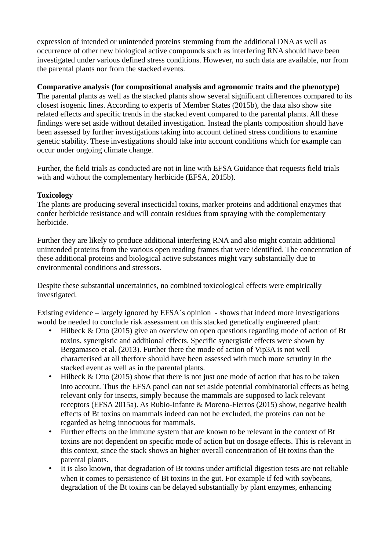expression of intended or unintended proteins stemming from the additional DNA as well as occurrence of other new biological active compounds such as interfering RNA should have been investigated under various defined stress conditions. However, no such data are available, nor from the parental plants nor from the stacked events.

# **Comparative analysis (for compositional analysis and agronomic traits and the phenotype)**

The parental plants as well as the stacked plants show several significant differences compared to its closest isogenic lines. According to experts of Member States (2015b), the data also show site related effects and specific trends in the stacked event compared to the parental plants. All these findings were set aside without detailed investigation. Instead the plants composition should have been assessed by further investigations taking into account defined stress conditions to examine genetic stability. These investigations should take into account conditions which for example can occur under ongoing climate change.

Further, the field trials as conducted are not in line with EFSA Guidance that requests field trials with and without the complementary herbicide (EFSA, 2015b).

# **Toxicology**

The plants are producing several insecticidal toxins, marker proteins and additional enzymes that confer herbicide resistance and will contain residues from spraying with the complementary herbicide.

Further they are likely to produce additional interfering RNA and also might contain additional unintended proteins from the various open reading frames that were identified. The concentration of these additional proteins and biological active substances might vary substantially due to environmental conditions and stressors.

Despite these substantial uncertainties, no combined toxicological effects were empirically investigated.

Existing evidence – largely ignored by EFSA´s opinion - shows that indeed more investigations would be needed to conclude risk assessment on this stacked genetically engineered plant:

- Hilbeck & Otto (2015) give an overview on open questions regarding mode of action of Bt toxins, synergistic and additional effects. Specific synergistic effects were shown by Bergamasco et al. (2013). Further there the mode of action of Vip3A is not well characterised at all therfore should have been assessed with much more scrutiny in the stacked event as well as in the parental plants.
- Hilbeck & Otto (2015) show that there is not just one mode of action that has to be taken into account. Thus the EFSA panel can not set aside potential combinatorial effects as being relevant only for insects, simply because the mammals are supposed to lack relevant receptors (EFSA 2015a). As Rubio-Infante & Moreno-Fierros (2015) show, negative health effects of Bt toxins on mammals indeed can not be excluded, the proteins can not be regarded as being innocuous for mammals.
- Further effects on the immune system that are known to be relevant in the context of Bt toxins are not dependent on specific mode of action but on dosage effects. This is relevant in this context, since the stack shows an higher overall concentration of Bt toxins than the parental plants.
- It is also known, that degradation of Bt toxins under artificial digestion tests are not reliable when it comes to persistence of Bt toxins in the gut. For example if fed with soybeans, degradation of the Bt toxins can be delayed substantially by plant enzymes, enhancing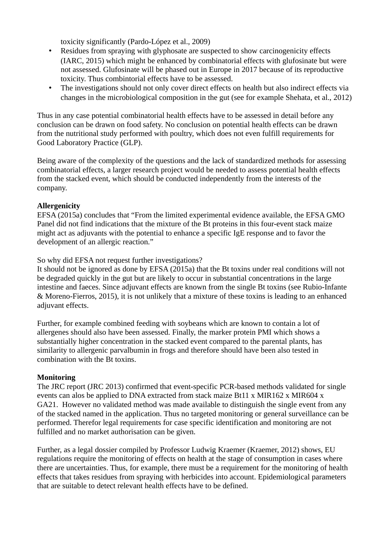toxicity significantly (Pardo-López et al., 2009)

- Residues from spraying with glyphosate are suspected to show carcinogenicity effects (IARC, 2015) which might be enhanced by combinatorial effects with glufosinate but were not assessed. Glufosinate will be phased out in Europe in 2017 because of its reproductive toxicity. Thus combintorial effects have to be assessed.
- The investigations should not only cover direct effects on health but also indirect effects via changes in the microbiological composition in the gut (see for example Shehata, et al., 2012)

Thus in any case potential combinatorial health effects have to be assessed in detail before any conclusion can be drawn on food safety. No conclusion on potential health effects can be drawn from the nutritional study performed with poultry, which does not even fulfill requirements for Good Laboratory Practice (GLP).

Being aware of the complexity of the questions and the lack of standardized methods for assessing combinatorial effects, a larger research project would be needed to assess potential health effects from the stacked event, which should be conducted independently from the interests of the company.

# **Allergenicity**

EFSA (2015a) concludes that "From the limited experimental evidence available, the EFSA GMO Panel did not find indications that the mixture of the Bt proteins in this four-event stack maize might act as adjuvants with the potential to enhance a specific IgE response and to favor the development of an allergic reaction."

### So why did EFSA not request further investigations?

It should not be ignored as done by EFSA (2015a) that the Bt toxins under real conditions will not be degraded quickly in the gut but are likely to occur in substantial concentrations in the large intestine and faeces. Since adjuvant effects are known from the single Bt toxins (see Rubio-Infante & Moreno-Fierros, 2015), it is not unlikely that a mixture of these toxins is leading to an enhanced adjuvant effects.

Further, for example combined feeding with soybeans which are known to contain a lot of allergenes should also have been assessed. Finally, the marker protein PMI which shows a substantially higher concentration in the stacked event compared to the parental plants, has similarity to allergenic parvalbumin in frogs and therefore should have been also tested in combination with the Bt toxins.

## **Monitoring**

The JRC report (JRC 2013) confirmed that event-specific PCR-based methods validated for single events can alos be applied to DNA extracted from stack maize Bt11 x MIR162 x MIR604 x GA21. However no validated method was made available to distinguish the single event from any of the stacked named in the application. Thus no targeted monitoring or general surveillance can be performed. Therefor legal requirements for case specific identification and monitoring are not fulfilled and no market authorisation can be given.

Further, as a legal dossier compiled by Professor Ludwig Kraemer (Kraemer, 2012) shows, EU regulations require the monitoring of effects on health at the stage of consumption in cases where there are uncertainties. Thus, for example, there must be a requirement for the monitoring of health effects that takes residues from spraying with herbicides into account. Epidemiological parameters that are suitable to detect relevant health effects have to be defined.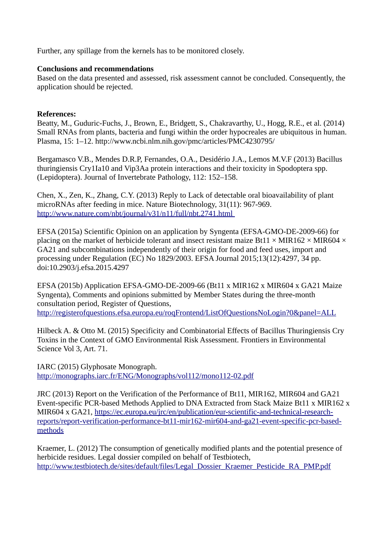Further, any spillage from the kernels has to be monitored closely.

### **Conclusions and recommendations**

Based on the data presented and assessed, risk assessment cannot be concluded. Consequently, the application should be rejected.

#### **References:**

Beatty, M., Guduric-Fuchs, J., Brown, E., Bridgett, S., Chakravarthy, U., Hogg, R.E., et al. (2014) Small RNAs from plants, bacteria and fungi within the order hypocreales are ubiquitous in human. Plasma, 15: 1–12. http://www.ncbi.nlm.nih.gov/pmc/articles/PMC4230795/

Bergamasco V.B., Mendes D.R.P, Fernandes, O.A., Desidério J.A., Lemos M.V.F (2013) Bacillus thuringiensis Cry1Ia10 and Vip3Aa protein interactions and their toxicity in Spodoptera spp. (Lepidoptera). Journal of Invertebrate Pathology, 112: 152–158.

Chen, X., Zen, K., Zhang, C.Y. (2013) Reply to Lack of detectable oral bioavailability of plant microRNAs after feeding in mice. Nature Biotechnology, 31(11): 967-969. [http://www.nature.com/nbt/journal/v31/n11/full/nbt.2741.html](http://www.nature.com/nbt/journal/v31/n11/full/nbt.2741.html%20967-969) 

EFSA (2015a) Scientific Opinion on an application by Syngenta (EFSA-GMO-DE-2009-66) for placing on the market of herbicide tolerant and insect resistant maize Bt11  $\times$  MIR162  $\times$  MIR604  $\times$ GA21 and subcombinations independently of their origin for food and feed uses, import and processing under Regulation (EC) No 1829/2003. EFSA Journal 2015;13(12):4297, 34 pp. doi:10.2903/j.efsa.2015.4297

EFSA (2015b) Application EFSA-GMO-DE-2009-66 (Bt11 x MIR162 x MIR604 x GA21 Maize Syngenta), Comments and opinions submitted by Member States during the three-month consultation period, Register of Questions, <http://registerofquestions.efsa.europa.eu/roqFrontend/ListOfQuestionsNoLogin?0&panel=ALL>

Hilbeck A. & Otto M. (2015) Specificity and Combinatorial Effects of Bacillus Thuringiensis Cry Toxins in the Context of GMO Environmental Risk Assessment. Frontiers in Environmental Science Vol 3, Art. 71.

IARC (2015) Glyphosate Monograph. <http://monographs.iarc.fr/ENG/Monographs/vol112/mono112-02.pdf>

JRC (2013) Report on the Verification of the Performance of Bt11, MIR162, MIR604 and GA21 Event-specific PCR-based Methods Applied to DNA Extracted from Stack Maize Bt11 x MIR162 x MIR604 x GA21, [https://ec.europa.eu/jrc/en/publication/eur-scientific-and-technical-research](https://ec.europa.eu/jrc/en/publication/eur-scientific-and-technical-research-reports/report-verification-performance-bt11-mir162-mir604-and-ga21-event-specific-pcr-based-methods)[reports/report-verification-performance-bt11-mir162-mir604-and-ga21-event-specific-pcr-based](https://ec.europa.eu/jrc/en/publication/eur-scientific-and-technical-research-reports/report-verification-performance-bt11-mir162-mir604-and-ga21-event-specific-pcr-based-methods)[methods](https://ec.europa.eu/jrc/en/publication/eur-scientific-and-technical-research-reports/report-verification-performance-bt11-mir162-mir604-and-ga21-event-specific-pcr-based-methods)

Kraemer, L. (2012) The consumption of genetically modified plants and the potential presence of herbicide residues. Legal dossier compiled on behalf of Testbiotech, [http://www.testbiotech.de/sites/default/files/Legal\\_Dossier\\_Kraemer\\_Pesticide\\_RA\\_PMP.pdf](http://www.testbiotech.de/sites/default/files/Legal_Dossier_Kraemer_Pesticide_RA_PMP.pdf)